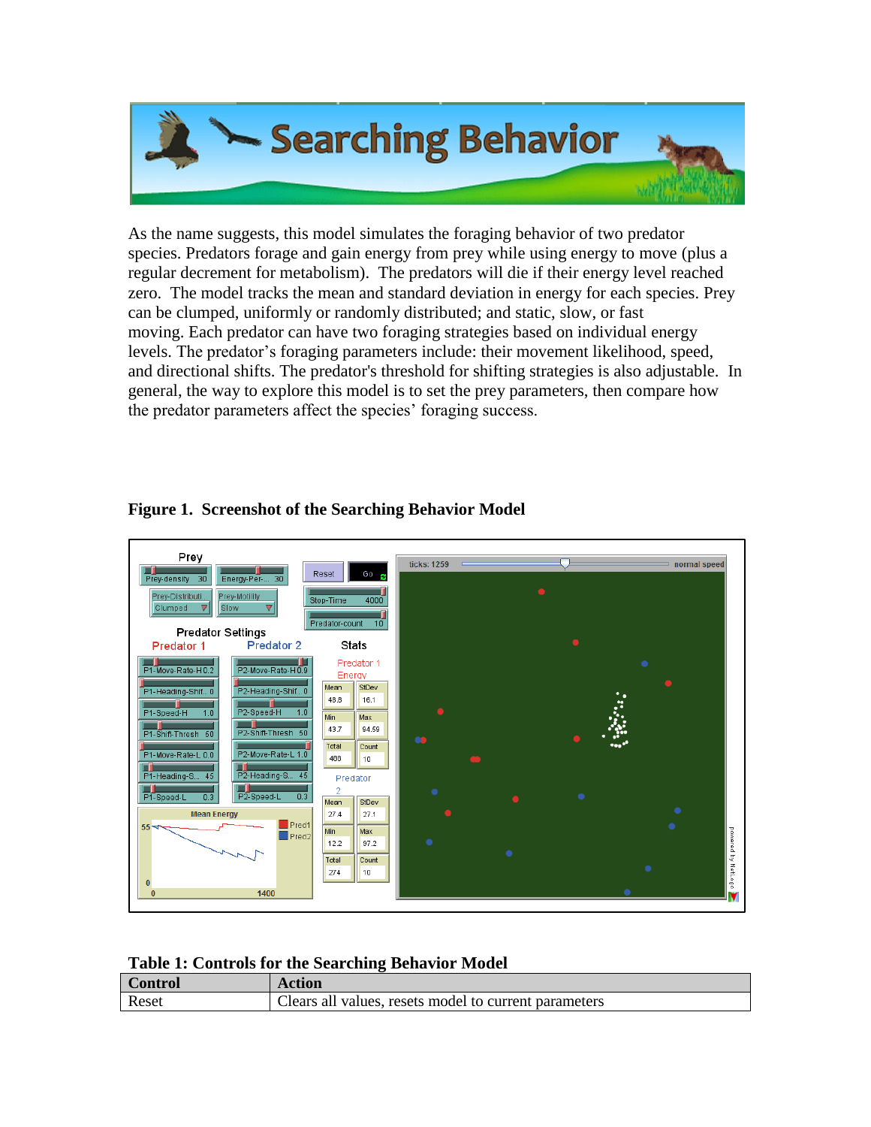

As the name suggests, this model simulates the foraging behavior of two predator species. Predators forage and gain energy from prey while using energy to move (plus a regular decrement for metabolism). The predators will die if their energy level reached zero. The model tracks the mean and standard deviation in energy for each species. Prey can be clumped, uniformly or randomly distributed; and static, slow, or fast moving. Each predator can have two foraging strategies based on individual energy levels. The predator's foraging parameters include: their movement likelihood, speed, and directional shifts. The predator's threshold for shifting strategies is also adjustable. In general, the way to explore this model is to set the prey parameters, then compare how the predator parameters affect the species' foraging success.



## **Figure 1. Screenshot of the Searching Behavior Model**

## **Table 1: Controls for the Searching Behavior Model**

| Control | Action                                                |
|---------|-------------------------------------------------------|
| Reset   | Clears all values, resets model to current parameters |